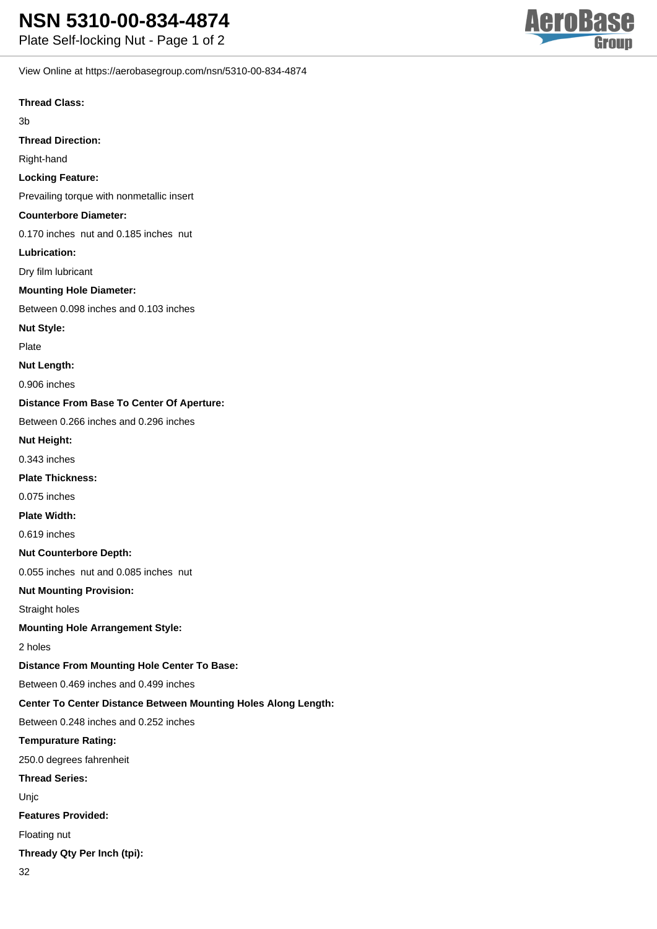View Online at https://aerobasegroup.com/nsn/5310-00-834-4874

#### **Thread Class:**

### 3b

**Thread Direction:**

Right-hand

**Locking Feature:**

Prevailing torque with nonmetallic insert

### **Counterbore Diameter:**

0.170 inches nut and 0.185 inches nut

**Lubrication:**

Dry film lubricant

### **Mounting Hole Diameter:**

Between 0.098 inches and 0.103 inches

**Nut Style:**

Plate

**Nut Length:**

0.906 inches

**Distance From Base To Center Of Aperture:**

Between 0.266 inches and 0.296 inches

**Nut Height:**

0.343 inches

**Plate Thickness:**

0.075 inches

#### **Plate Width:**

0.619 inches

### **Nut Counterbore Depth:**

0.055 inches nut and 0.085 inches nut

### **Nut Mounting Provision:**

Straight holes

### **Mounting Hole Arrangement Style:**

2 holes

### **Distance From Mounting Hole Center To Base:**

Between 0.469 inches and 0.499 inches

## **Center To Center Distance Between Mounting Holes Along Length:**

Between 0.248 inches and 0.252 inches

#### **Tempurature Rating:**

250.0 degrees fahrenheit

### **Thread Series:**

Unjc

### **Features Provided:**

Floating nut

## **Thready Qty Per Inch (tpi):**

32